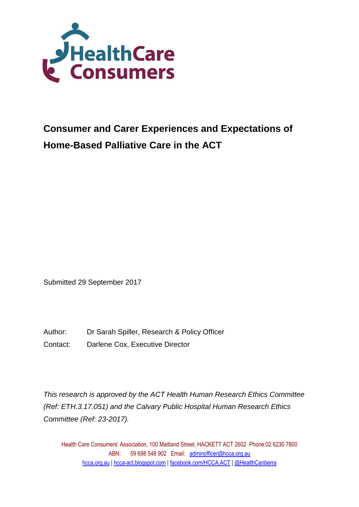

Submitted 29 September 2017

Author: Dr Sarah Spiller, Research & Policy Officer

Contact: Darlene Cox, Executive Director

*This research is approved by the ACT Health Human Research Ethics Committee (Ref: ETH.3.17.051) and the Calvary Public Hospital Human Research Ethics Committee (Ref: 23-2017).*

Health Care Consumers' Association, 100 Maitland Street, HACKETT ACT 2602 Phone:02 6230 7800 ABN: 59 698 548 902 Email: adminofficer@hcca.org.au [hcca.org.au](http://www.hcca.org.au/) | [hcca-act.blogspot.com](http://hcca-act.blogspot.com/) | [facebook.com/HCCA.ACT](http://www.facebook.com/HCCA.ACT) | [@HealthCanberra](http://twitter.com/healthcanberra)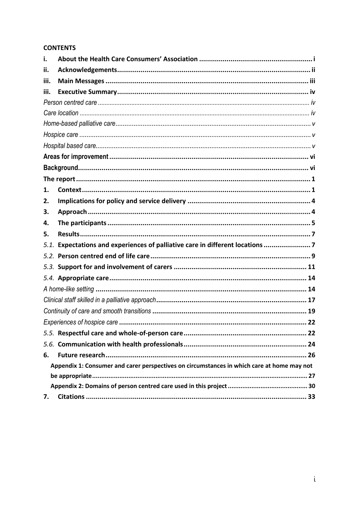### **CONTENTS**

| i.   |                                                                                            |
|------|--------------------------------------------------------------------------------------------|
| ii.  |                                                                                            |
| iii. |                                                                                            |
| iii. |                                                                                            |
|      |                                                                                            |
|      |                                                                                            |
|      |                                                                                            |
|      |                                                                                            |
|      |                                                                                            |
|      |                                                                                            |
|      |                                                                                            |
|      |                                                                                            |
| 1.   |                                                                                            |
| 2.   |                                                                                            |
| З.   |                                                                                            |
| 4.   |                                                                                            |
| 5.   |                                                                                            |
| 5.1. | Expectations and experiences of palliative care in different locations 7                   |
|      |                                                                                            |
|      |                                                                                            |
|      |                                                                                            |
|      |                                                                                            |
|      |                                                                                            |
|      |                                                                                            |
|      |                                                                                            |
|      |                                                                                            |
|      |                                                                                            |
| 6.   |                                                                                            |
|      | Appendix 1: Consumer and carer perspectives on circumstances in which care at home may not |
|      |                                                                                            |
|      |                                                                                            |
| 7.   |                                                                                            |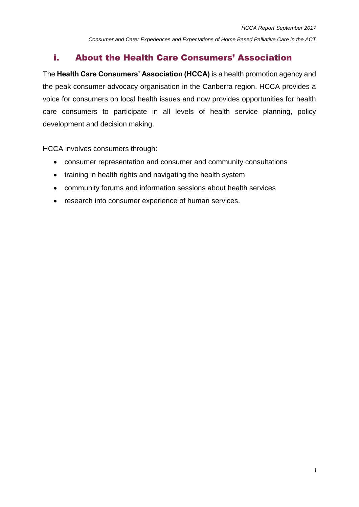# i. About the Health Care Consumers' Association

The **Health Care Consumers' Association (HCCA)** is a health promotion agency and the peak consumer advocacy organisation in the Canberra region. HCCA provides a voice for consumers on local health issues and now provides opportunities for health care consumers to participate in all levels of health service planning, policy development and decision making.

HCCA involves consumers through:

- consumer representation and consumer and community consultations
- training in health rights and navigating the health system
- community forums and information sessions about health services
- research into consumer experience of human services.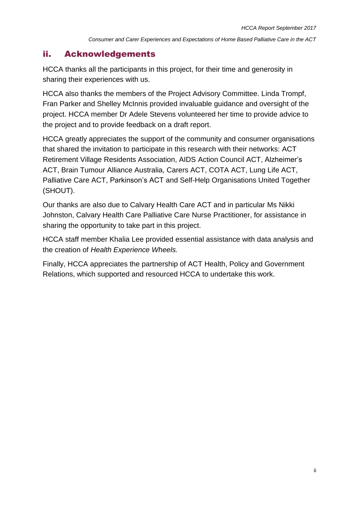# ii. Acknowledgements

HCCA thanks all the participants in this project, for their time and generosity in sharing their experiences with us.

HCCA also thanks the members of the Project Advisory Committee. Linda Trompf, Fran Parker and Shelley McInnis provided invaluable guidance and oversight of the project. HCCA member Dr Adele Stevens volunteered her time to provide advice to the project and to provide feedback on a draft report.

HCCA greatly appreciates the support of the community and consumer organisations that shared the invitation to participate in this research with their networks: ACT Retirement Village Residents Association, AIDS Action Council ACT, Alzheimer's ACT, Brain Tumour Alliance Australia, Carers ACT, COTA ACT, Lung Life ACT, Palliative Care ACT, Parkinson's ACT and Self-Help Organisations United Together (SHOUT).

Our thanks are also due to Calvary Health Care ACT and in particular Ms Nikki Johnston, Calvary Health Care Palliative Care Nurse Practitioner, for assistance in sharing the opportunity to take part in this project.

HCCA staff member Khalia Lee provided essential assistance with data analysis and the creation of *Health Experience Wheels.*

Finally, HCCA appreciates the partnership of ACT Health, Policy and Government Relations, which supported and resourced HCCA to undertake this work.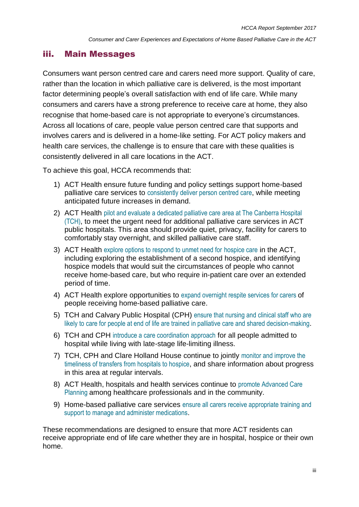### iii. Main Messages

Consumers want person centred care and carers need more support. Quality of care, rather than the location in which palliative care is delivered, is the most important factor determining people's overall satisfaction with end of life care. While many consumers and carers have a strong preference to receive care at home, they also recognise that home-based care is not appropriate to everyone's circumstances. Across all locations of care, people value person centred care that supports and involves carers and is delivered in a home-like setting. For ACT policy makers and health care services, the challenge is to ensure that care with these qualities is consistently delivered in all care locations in the ACT.

To achieve this goal, HCCA recommends that:

- 1) ACT Health ensure future funding and policy settings support home-based palliative care services to consistently deliver person centred care, while meeting anticipated future increases in demand.
- 2) ACT Health pilot and evaluate a dedicated palliative care area at The Canberra Hospital (TCH), to meet the urgent need for additional palliative care services in ACT public hospitals. This area should provide quiet, privacy, facility for carers to comfortably stay overnight, and skilled palliative care staff.
- 3) ACT Health explore options to respond to unmet need for hospice care in the ACT, including exploring the establishment of a second hospice, and identifying hospice models that would suit the circumstances of people who cannot receive home-based care, but who require in-patient care over an extended period of time.
- 4) ACT Health explore opportunities to expand overnight respite services for carers of people receiving home-based palliative care.
- 5) TCH and Calvary Public Hospital (CPH) ensure that nursing and clinical staff who are likely to care for people at end of life are trained in palliative care and shared decision-making.
- 6) TCH and CPH introduce a care coordination approach for all people admitted to hospital while living with late-stage life-limiting illness.
- 7) TCH, CPH and Clare Holland House continue to jointly monitor and improve the timeliness of transfers from hospitals to hospice, and share information about progress in this area at regular intervals.
- 8) ACT Health, hospitals and health services continue to promote Advanced Care Planning among healthcare professionals and in the community.
- 9) Home-based palliative care services ensure all carers receive appropriate training and support to manage and administer medications.

These recommendations are designed to ensure that more ACT residents can receive appropriate end of life care whether they are in hospital, hospice or their own home.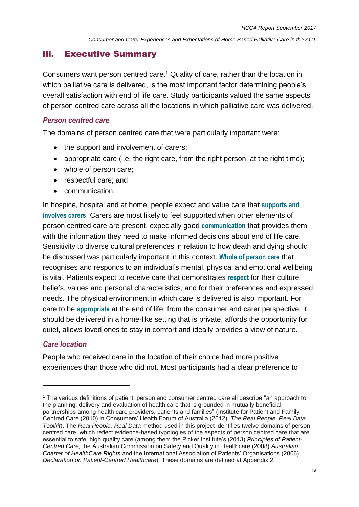# iii. Executive Summary

Consumers want person centred care. <sup>1</sup> Quality of care, rather than the location in which palliative care is delivered, is the most important factor determining people's overall satisfaction with end of life care. Study participants valued the same aspects of person centred care across all the locations in which palliative care was delivered.

### *Person centred care*

The domains of person centred care that were particularly important were:

- the support and involvement of carers;
- appropriate care (i.e. the right care, from the right person, at the right time):
- whole of person care;
- respectful care; and
- communication.

In hospice, hospital and at home, people expect and value care that **supports and involves carers**. Carers are most likely to feel supported when other elements of person centred care are present, expecially good **communication** that provides them with the information they need to make informed decisions about end of life care. Sensitivity to diverse cultural preferences in relation to how death and dying should be discussed was particularly important in this context. **Whole of person care** that recognises and responds to an individual's mental, physical and emotional wellbeing is vital. Patients expect to receive care that demonstrates **respect** for their culture, beliefs, values and personal characteristics, and for their preferences and expressed needs. The physical environment in which care is delivered is also important. For care to be **appropriate** at the end of life, from the consumer and carer perspective, it should be delivered in a home-like setting that is private, affords the opportunity for quiet, allows loved ones to stay in comfort and ideally provides a view of nature.

# *Care location*

 $\overline{a}$ 

People who received care in the location of their choice had more positive experiences than those who did not. Most participants had a clear preference to

<sup>1</sup> The various definitions of patient, person and consumer centred care all describe "an approach to the planning, delivery and evaluation of health care that is grounded in mutually beneficial partnerships among health care providers, patients and families" (Institute for Patient and Family Centred Care (2010) in Consumers' Health Forum of Australia (2012), *The Real People, Real Data Toolkit*). The *Real People, Real Data* method used in this project identifies twelve domains of person centred care, which reflect evidence-based typologies of the aspects of person centred care that are essential to safe, high quality care (among them the Picker Institute's (2013) *Principles of Patient-Centred Care,* the Australian Commission on Safety and Quality in Healthcare (2008) *Australian Charter of HealthCare Rights* and the International Association of Patients' Organisations (2006) *Declaration on Patient-Centred Healthcare*)*.* These domains are defined at Appendix 2.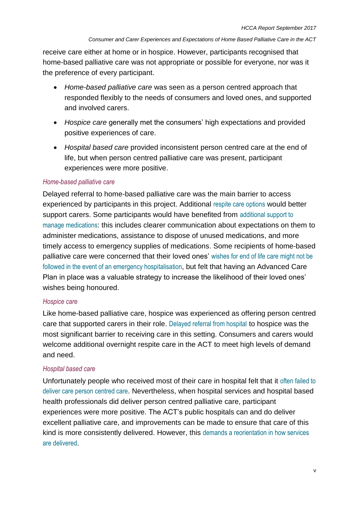receive care either at home or in hospice. However, participants recognised that home-based palliative care was not appropriate or possible for everyone, nor was it the preference of every participant.

- *Home-based palliative care* was seen as a person centred approach that responded flexibly to the needs of consumers and loved ones, and supported and involved carers.
- *Hospice care* generally met the consumers' high expectations and provided positive experiences of care.
- *Hospital based care* provided inconsistent person centred care at the end of life, but when person centred palliative care was present, participant experiences were more positive.

#### *Home-based palliative care*

Delayed referral to home-based palliative care was the main barrier to access experienced by participants in this project. Additional respite care options would better support carers. Some participants would have benefited from additional support to manage medications: this includes clearer communication about expectations on them to administer medications, assistance to dispose of unused medications, and more timely access to emergency supplies of medications. Some recipients of home-based palliative care were concerned that their loved ones' wishes for end of life care might not be followed in the event of an emergency hospitalisation, but felt that having an Advanced Care Plan in place was a valuable strategy to increase the likelihood of their loved ones' wishes being honoured.

#### *Hospice care*

Like home-based palliative care, hospice was experienced as offering person centred care that supported carers in their role. Delayed referral from hospital to hospice was the most significant barrier to receiving care in this setting. Consumers and carers would welcome additional overnight respite care in the ACT to meet high levels of demand and need.

#### *Hospital based care*

Unfortunately people who received most of their care in hospital felt that it often failed to deliver care person centred care. Nevertheless, when hospital services and hospital based health professionals did deliver person centred palliative care, participant experiences were more positive. The ACT's public hospitals can and do deliver excellent palliative care, and improvements can be made to ensure that care of this kind is more consistently delivered. However, this demands a reorientation in how services are delivered.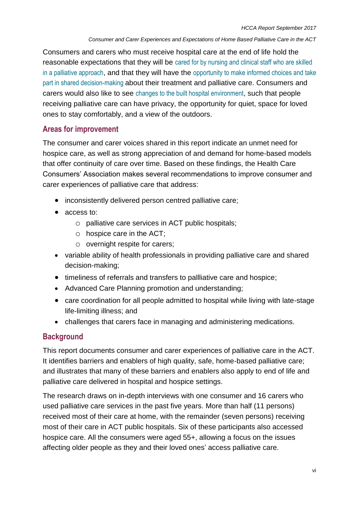Consumers and carers who must receive hospital care at the end of life hold the reasonable expectations that they will be cared for by nursing and clinical staff who are skilled in a palliative approach, and that they will have the opportunity to make informed choices and take part in shared decision-making about their treatment and palliative care. Consumers and carers would also like to see changes to the built hospital environment, such that people receiving palliative care can have privacy, the opportunity for quiet, space for loved ones to stay comfortably, and a view of the outdoors.

### **Areas for improvement**

The consumer and carer voices shared in this report indicate an unmet need for hospice care, as well as strong appreciation of and demand for home-based models that offer continuity of care over time. Based on these findings, the Health Care Consumers' Association makes several recommendations to improve consumer and carer experiences of palliative care that address:

- inconsistently delivered person centred palliative care;
- access to:
	- o palliative care services in ACT public hospitals;
	- o hospice care in the ACT;
	- o overnight respite for carers;
- variable ability of health professionals in providing palliative care and shared decision-making;
- timeliness of referrals and transfers to pallliative care and hospice;
- Advanced Care Planning promotion and understanding;
- care coordination for all people admitted to hospital while living with late-stage life-limiting illness; and
- challenges that carers face in managing and administering medications.

# **Background**

This report documents consumer and carer experiences of palliative care in the ACT. It identifies barriers and enablers of high quality, safe, home-based palliative care; and illustrates that many of these barriers and enablers also apply to end of life and palliative care delivered in hospital and hospice settings.

The research draws on in-depth interviews with one consumer and 16 carers who used palliative care services in the past five years. More than half (11 persons) received most of their care at home, with the remainder (seven persons) receiving most of their care in ACT public hospitals. Six of these participants also accessed hospice care. All the consumers were aged 55+, allowing a focus on the issues affecting older people as they and their loved ones' access palliative care.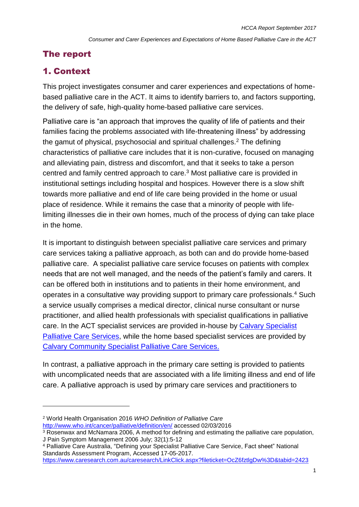# The report

# 1. Context

 $\overline{a}$ 

This project investigates consumer and carer experiences and expectations of homebased palliative care in the ACT. It aims to identify barriers to, and factors supporting, the delivery of safe, high-quality home-based palliative care services.

Palliative care is "an approach that improves the quality of life of patients and their families facing the problems associated with life-threatening illness" by addressing the gamut of physical, psychosocial and spiritual challenges.<sup>2</sup> The defining characteristics of palliative care includes that it is non-curative, focused on managing and alleviating pain, distress and discomfort, and that it seeks to take a person centred and family centred approach to care.<sup>3</sup> Most palliative care is provided in institutional settings including hospital and hospices. However there is a slow shift towards more palliative and end of life care being provided in the home or usual place of residence. While it remains the case that a minority of people with lifelimiting illnesses die in their own homes, much of the process of dying can take place in the home.

It is important to distinguish between specialist palliative care services and primary care services taking a palliative approach, as both can and do provide home-based palliative care. A specialist palliative care service focuses on patients with complex needs that are not well managed, and the needs of the patient's family and carers. It can be offered both in institutions and to patients in their home environment, and operates in a consultative way providing support to primary care professionals.<sup>4</sup> Such a service usually comprises a medical director, clinical nurse consultant or nurse practitioner, and allied health professionals with specialist qualifications in palliative care. In the ACT specialist services are provided in-house by [Calvary Specialist](https://www.calvarycare.org.au/public-hospital-bruce/services-and-clinics/clare-holland-house/)  [Palliative Care Services,](https://www.calvarycare.org.au/public-hospital-bruce/services-and-clinics/clare-holland-house/) while the home based specialist services are provided by [Calvary Community Specialist Palliative Care Services.](https://www.calvarycare.org.au/public-hospital-bruce/services-and-clinics/clare-holland-house/)

In contrast, a palliative approach in the primary care setting is provided to patients with uncomplicated needs that are associated with a life limiting illness and end of life care. A palliative approach is used by primary care services and practitioners to

<sup>2</sup> World Health Organisation 2016 *WHO Definition of Palliative Care*  <http://www.who.int/cancer/palliative/definition/en/> accessed 02/03/2016

<sup>&</sup>lt;sup>3</sup> Rosenwax and McNamara 2006, A method for defining and estimating the palliative care population, J Pain Symptom Management 2006 July; 32(1):5-12

<sup>4</sup> Palliative Care Australia, "Defining your Specialist Palliative Care Service, Fact sheet" National Standards Assessment Program, Accessed 17-05-2017.

<https://www.caresearch.com.au/caresearch/LinkClick.aspx?fileticket=OcZ6fztlgDw%3D&tabid=2423>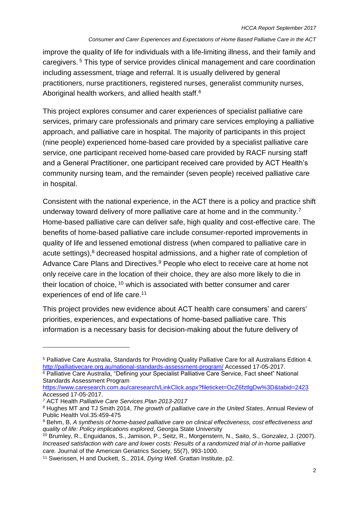improve the quality of life for individuals with a life-limiting illness, and their family and caregivers. <sup>5</sup> This type of service provides clinical management and care coordination including assessment, triage and referral. It is usually delivered by general practitioners, nurse practitioners, registered nurses, generalist community nurses, Aboriginal health workers, and allied health staff.<sup>6</sup>

This project explores consumer and carer experiences of specialist palliative care services, primary care professionals and primary care services employing a palliative approach, and palliative care in hospital. The majority of participants in this project (nine people) experienced home-based care provided by a specialist palliative care service, one participant received home-based care provided by RACF nursing staff and a General Practitioner, one participant received care provided by ACT Health's community nursing team, and the remainder (seven people) received palliative care in hospital.

Consistent with the national experience, in the ACT there is a policy and practice shift underway toward delivery of more palliative care at home and in the community.<sup>7</sup> Home-based palliative care can deliver safe, high quality and cost-effective care. The benefits of home-based palliative care include consumer-reported improvements in quality of life and lessened emotional distress (when compared to palliative care in acute settings), <sup>8</sup> decreased hospital admissions, and a higher rate of completion of Advance Care Plans and Directives.<sup>9</sup> People who elect to receive care at home not only receive care in the location of their choice, they are also more likely to die in their location of choice, <sup>10</sup> which is associated with better consumer and carer experiences of end of life care.<sup>11</sup>

This project provides new evidence about ACT health care consumers' and carers' priorities, experiences, and expectations of home-based palliative care. This information is a necessary basis for decision-making about the future delivery of

 $\overline{a}$ 

<sup>5</sup> Palliative Care Australia, Standards for Providing Quality Palliative Care for all Australians Edition 4. <http://palliativecare.org.au/national-standards-assessment-program/> Accessed 17-05-2017. <sup>6</sup> Palliative Care Australia, "Defining your Specialist Palliative Care Service, Fact sheet" National Standards Assessment Program

<https://www.caresearch.com.au/caresearch/LinkClick.aspx?fileticket=OcZ6fztlgDw%3D&tabid=2423> Accessed 17-05-2017.

<sup>7</sup> ACT Health *Palliative Care Services Plan 2013-2017*

<sup>8</sup> Hughes MT and TJ Smith 2014, *The growth of palliative care in the United States*, Annual Review of Public Health Vol.35:459-475

<sup>9</sup> Behm, B, *A synthesis of home-based palliative care on clinical effectiveness, cost effectiveness and quality of life: Policy implications explored*, Georgia State University

<sup>10</sup> Brumley, R., Enguidanos, S., Jamison, P., Seitz, R., Morgenstern, N., Saito, S., Gonzalez, J. (2007). *Increased satisfaction with care and lower costs: Results of a randomized trial of in-home palliative care.* Journal of the American Geriatrics Society, 55(7), 993-1000.

<sup>11</sup> Swerissen, H and Duckett, S., 2014, *Dying Well*. Grattan Institute, p2.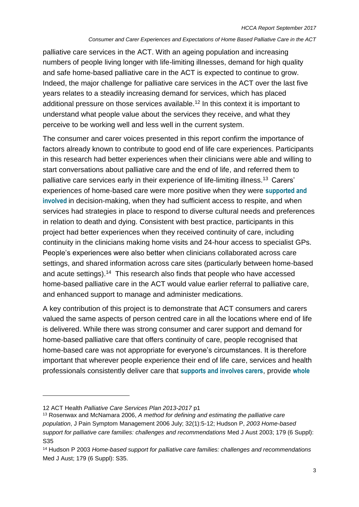palliative care services in the ACT. With an ageing population and increasing numbers of people living longer with life-limiting illnesses, demand for high quality and safe home-based palliative care in the ACT is expected to continue to grow. Indeed, the major challenge for palliative care services in the ACT over the last five years relates to a steadily increasing demand for services, which has placed additional pressure on those services available.<sup>12</sup> In this context it is important to understand what people value about the services they receive, and what they perceive to be working well and less well in the current system.

The consumer and carer voices presented in this report confirm the importance of factors already known to contribute to good end of life care experiences. Participants in this research had better experiences when their clinicians were able and willing to start conversations about palliative care and the end of life, and referred them to palliative care services early in their experience of life-limiting illness.<sup>13</sup> Carers' experiences of home-based care were more positive when they were **supported and involved** in decision-making, when they had sufficient access to respite, and when services had strategies in place to respond to diverse cultural needs and preferences in relation to death and dying. Consistent with best practice, participants in this project had better experiences when they received continuity of care, including continuity in the clinicians making home visits and 24-hour access to specialist GPs. People's experiences were also better when clinicians collaborated across care settings, and shared information across care sites (particularly between home-based and acute settings).<sup>14</sup> This research also finds that people who have accessed home-based palliative care in the ACT would value earlier referral to palliative care, and enhanced support to manage and administer medications.

A key contribution of this project is to demonstrate that ACT consumers and carers valued the same aspects of person centred care in all the locations where end of life is delivered. While there was strong consumer and carer support and demand for home-based palliative care that offers continuity of care, people recognised that home-based care was not appropriate for everyone's circumstances. It is therefore important that wherever people experience their end of life care, services and health professionals consistently deliver care that **supports and involves carers**, provide **whole** 

 $\overline{a}$ 

<sup>12</sup> ACT Health *Palliative Care Services Plan 2013-2017* p1

<sup>13</sup> Rosenwax and McNamara 2006, *A method for defining and estimating the palliative care population*, J Pain Symptom Management 2006 July; 32(1):5-12; Hudson P, *2003 Home-based support for palliative care families: challenges and recommendations* Med J Aust 2003; 179 (6 Suppl): S35

<sup>14</sup> Hudson P 2003 *Home-based support for palliative care families: challenges and recommendations* Med J Aust; 179 (6 Suppl): S35.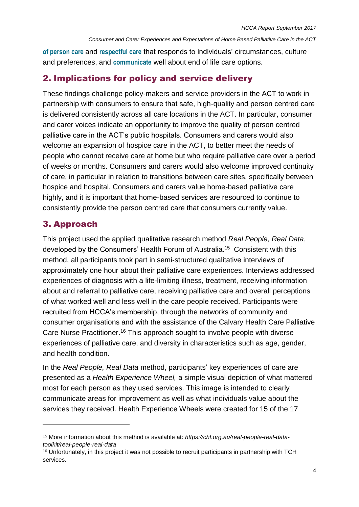**of person care** and **respectful care** that responds to individuals' circumstances, culture and preferences, and **communicate** well about end of life care options.

# 2. Implications for policy and service delivery

These findings challenge policy-makers and service providers in the ACT to work in partnership with consumers to ensure that safe, high-quality and person centred care is delivered consistently across all care locations in the ACT. In particular, consumer and carer voices indicate an opportunity to improve the quality of person centred palliative care in the ACT's public hospitals. Consumers and carers would also welcome an expansion of hospice care in the ACT, to better meet the needs of people who cannot receive care at home but who require palliative care over a period of weeks or months. Consumers and carers would also welcome improved continuity of care, in particular in relation to transitions between care sites, specifically between hospice and hospital. Consumers and carers value home-based palliative care highly, and it is important that home-based services are resourced to continue to consistently provide the person centred care that consumers currently value.

# 3. Approach

 $\overline{a}$ 

This project used the applied qualitative research method *Real People, Real Data*, developed by the Consumers' Health Forum of Australia. 15 Consistent with this method, all participants took part in semi-structured qualitative interviews of approximately one hour about their palliative care experiences. Interviews addressed experiences of diagnosis with a life-limiting illness, treatment, receiving information about and referral to palliative care, receiving palliative care and overall perceptions of what worked well and less well in the care people received. Participants were recruited from HCCA's membership, through the networks of community and consumer organisations and with the assistance of the Calvary Health Care Palliative Care Nurse Practitioner.<sup>16</sup> This approach sought to involve people with diverse experiences of palliative care, and diversity in characteristics such as age, gender, and health condition.

In the *Real People, Real Data* method, participants' key experiences of care are presented as a *Health Experience Wheel,* a simple visual depiction of what mattered most for each person as they used services. This image is intended to clearly communicate areas for improvement as well as what individuals value about the services they received. Health Experience Wheels were created for 15 of the 17

<sup>15</sup> More information about this method is available at: *https://chf.org.au/real-people-real-datatoolkit/real-people-real-data*

<sup>&</sup>lt;sup>16</sup> Unfortunately, in this project it was not possible to recruit participants in partnership with TCH services.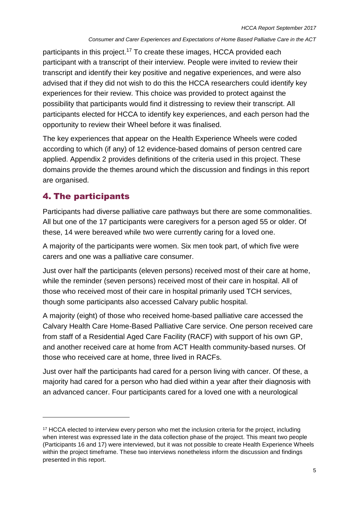participants in this project.<sup>17</sup> To create these images, HCCA provided each participant with a transcript of their interview. People were invited to review their transcript and identify their key positive and negative experiences, and were also advised that if they did not wish to do this the HCCA researchers could identify key experiences for their review. This choice was provided to protect against the possibility that participants would find it distressing to review their transcript. All participants elected for HCCA to identify key experiences, and each person had the opportunity to review their Wheel before it was finalised.

The key experiences that appear on the Health Experience Wheels were coded according to which (if any) of 12 evidence-based domains of person centred care applied. Appendix 2 provides definitions of the criteria used in this project. These domains provide the themes around which the discussion and findings in this report are organised.

# 4. The participants

 $\overline{a}$ 

Participants had diverse palliative care pathways but there are some commonalities. All but one of the 17 participants were caregivers for a person aged 55 or older. Of these, 14 were bereaved while two were currently caring for a loved one.

A majority of the participants were women. Six men took part, of which five were carers and one was a palliative care consumer.

Just over half the participants (eleven persons) received most of their care at home, while the reminder (seven persons) received most of their care in hospital. All of those who received most of their care in hospital primarily used TCH services, though some participants also accessed Calvary public hospital.

A majority (eight) of those who received home-based palliative care accessed the Calvary Health Care Home-Based Palliative Care service. One person received care from staff of a Residential Aged Care Facility (RACF) with support of his own GP, and another received care at home from ACT Health community-based nurses. Of those who received care at home, three lived in RACFs.

Just over half the participants had cared for a person living with cancer. Of these, a majority had cared for a person who had died within a year after their diagnosis with an advanced cancer. Four participants cared for a loved one with a neurological

<sup>&</sup>lt;sup>17</sup> HCCA elected to interview every person who met the inclusion criteria for the project, including when interest was expressed late in the data collection phase of the project. This meant two people (Participants 16 and 17) were interviewed, but it was not possible to create Health Experience Wheels within the project timeframe. These two interviews nonetheless inform the discussion and findings presented in this report.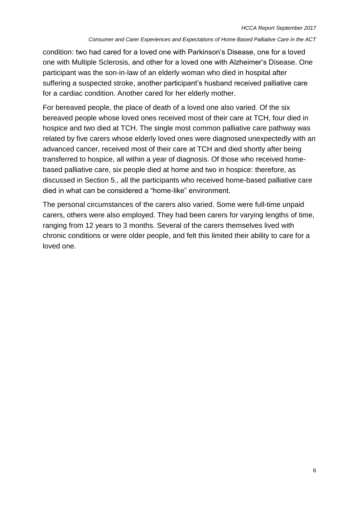condition: two had cared for a loved one with Parkinson's Disease, one for a loved one with Multiple Sclerosis, and other for a loved one with Alzheimer's Disease. One participant was the son-in-law of an elderly woman who died in hospital after suffering a suspected stroke, another participant's husband received palliative care for a cardiac condition. Another cared for her elderly mother.

For bereaved people, the place of death of a loved one also varied. Of the six bereaved people whose loved ones received most of their care at TCH, four died in hospice and two died at TCH. The single most common palliative care pathway was related by five carers whose elderly loved ones were diagnosed unexpectedly with an advanced cancer, received most of their care at TCH and died shortly after being transferred to hospice, all within a year of diagnosis. Of those who received homebased palliative care, six people died at home and two in hospice: therefore, as discussed in Section 5., all the participants who received home-based palliative care died in what can be considered a "home-like" environment.

The personal circumstances of the carers also varied. Some were full-time unpaid carers, others were also employed. They had been carers for varying lengths of time, ranging from 12 years to 3 months. Several of the carers themselves lived with chronic conditions or were older people, and felt this limited their ability to care for a loved one.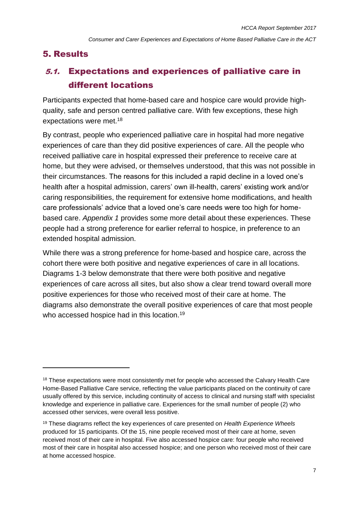# 5. Results

 $\overline{a}$ 

# 5.1. Expectations and experiences of palliative care in different locations

Participants expected that home-based care and hospice care would provide highquality, safe and person centred palliative care. With few exceptions, these high expectations were met.<sup>18</sup>

By contrast, people who experienced palliative care in hospital had more negative experiences of care than they did positive experiences of care. All the people who received palliative care in hospital expressed their preference to receive care at home, but they were advised, or themselves understood, that this was not possible in their circumstances. The reasons for this included a rapid decline in a loved one's health after a hospital admission, carers' own ill-health, carers' existing work and/or caring responsibilities, the requirement for extensive home modifications, and health care professionals' advice that a loved one's care needs were too high for homebased care. *Appendix 1* provides some more detail about these experiences. These people had a strong preference for earlier referral to hospice, in preference to an extended hospital admission.

While there was a strong preference for home-based and hospice care, across the cohort there were both positive and negative experiences of care in all locations. Diagrams 1-3 below demonstrate that there were both positive and negative experiences of care across all sites, but also show a clear trend toward overall more positive experiences for those who received most of their care at home. The diagrams also demonstrate the overall positive experiences of care that most people who accessed hospice had in this location.<sup>19</sup>

<sup>&</sup>lt;sup>18</sup> These expectations were most consistently met for people who accessed the Calvary Health Care Home-Based Palliative Care service, reflecting the value participants placed on the continuity of care usually offered by this service, including continuity of access to clinical and nursing staff with specialist knowledge and experience in palliative care. Experiences for the small number of people (2) who accessed other services, were overall less positive.

<sup>19</sup> These diagrams reflect the key experiences of care presented on *Health Experience Wheels*  produced for 15 participants. Of the 15, nine people received most of their care at home, seven received most of their care in hospital. Five also accessed hospice care: four people who received most of their care in hospital also accessed hospice; and one person who received most of their care at home accessed hospice.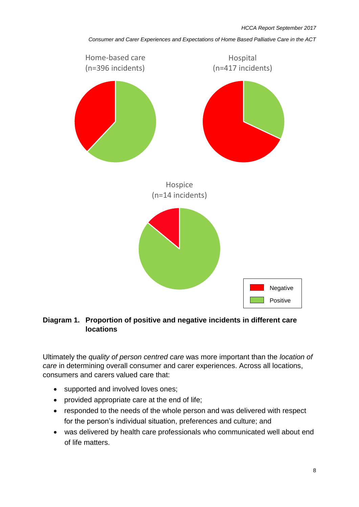



Ultimately the *quality of person centred care* was more important than the *location of care* in determining overall consumer and carer experiences. Across all locations, consumers and carers valued care that:

- supported and involved loves ones;
- provided appropriate care at the end of life;
- responded to the needs of the whole person and was delivered with respect for the person's individual situation, preferences and culture; and
- was delivered by health care professionals who communicated well about end of life matters.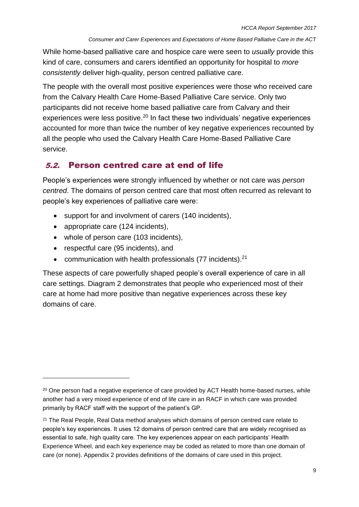While home-based palliative care and hospice care were seen to *usually* provide this kind of care, consumers and carers identified an opportunity for hospital to *more consistently* deliver high-quality, person centred palliative care.

The people with the overall most positive experiences were those who received care from the Calvary Health Care Home-Based Palliative Care service. Only two participants did not receive home based palliative care from Calvary and their experiences were less positive.<sup>20</sup> In fact these two individuals' negative experiences accounted for more than twice the number of key negative experiences recounted by all the people who used the Calvary Health Care Home-Based Palliative Care service.

# 5.2. Person centred care at end of life

People's experiences were strongly influenced by whether or not care was *person centred*. The domains of person centred care that most often recurred as relevant to people's key experiences of palliative care were:

- support for and involvment of carers (140 incidents),
- appropriate care (124 incidents),
- whole of person care (103 incidents),
- respectful care (95 incidents), and

 $\overline{a}$ 

• communication with health professionals (77 incidents).<sup>21</sup>

These aspects of care powerfully shaped people's overall experience of care in all care settings. Diagram 2 demonstrates that people who experienced most of their care at home had more positive than negative experiences across these key domains of care.

<sup>&</sup>lt;sup>20</sup> One person had a negative experience of care provided by ACT Health home-based nurses, while another had a very mixed experience of end of life care in an RACF in which care was provided primarily by RACF staff with the support of the patient's GP.

<sup>&</sup>lt;sup>21</sup> The Real People, Real Data method analyses which domains of person centred care relate to people's key experiences. It uses 12 domains of person centred care that are widely recognised as essential to safe, high quality care. The key experiences appear on each participants' Health Experience Wheel, and each key experience may be coded as related to more than one domain of care (or none). Appendix 2 provides definitions of the domains of care used in this project.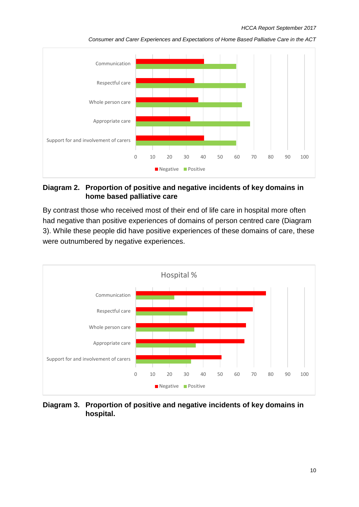#### *HCCA Report September 2017*



*Consumer and Carer Experiences and Expectations of Home Based Palliative Care in the ACT*

### **Diagram 2. Proportion of positive and negative incidents of key domains in home based palliative care**

By contrast those who received most of their end of life care in hospital more often had negative than positive experiences of domains of person centred care (Diagram 3). While these people did have positive experiences of these domains of care, these were outnumbered by negative experiences.



**Diagram 3. Proportion of positive and negative incidents of key domains in hospital.**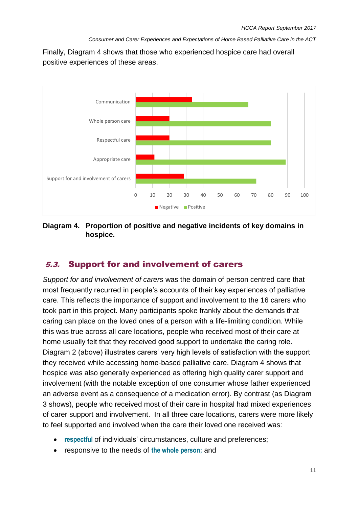Finally, Diagram 4 shows that those who experienced hospice care had overall positive experiences of these areas.



**Diagram 4. Proportion of positive and negative incidents of key domains in hospice.**

# 5.3. Support for and involvement of carers

*Support for and involvement of carers* was the domain of person centred care that most frequently recurred in people's accounts of their key experiences of palliative care. This reflects the importance of support and involvement to the 16 carers who took part in this project. Many participants spoke frankly about the demands that caring can place on the loved ones of a person with a life-limiting condition. While this was true across all care locations, people who received most of their care at home usually felt that they received good support to undertake the caring role. Diagram 2 (above) illustrates carers' very high levels of satisfaction with the support they received while accessing home-based palliative care. Diagram 4 shows that hospice was also generally experienced as offering high quality carer support and involvement (with the notable exception of one consumer whose father experienced an adverse event as a consequence of a medication error). By contrast (as Diagram 3 shows), people who received most of their care in hospital had mixed experiences of carer support and involvement. In all three care locations, carers were more likely to feel supported and involved when the care their loved one received was:

- **respectful** of individuals' circumstances, culture and preferences;
- **•** responsive to the needs of the whole person; and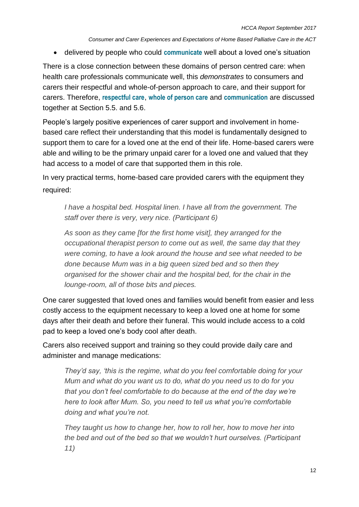delivered by people who could **communicate** well about a loved one's situation

There is a close connection between these domains of person centred care: when health care professionals communicate well, this *demonstrates* to consumers and carers their respectful and whole-of-person approach to care, and their support for carers. Therefore, **respectful care**, **whole of person care** and **communication** are discussed together at Section 5.5. and 5.6.

People's largely positive experiences of carer support and involvement in homebased care reflect their understanding that this model is fundamentally designed to support them to care for a loved one at the end of their life. Home-based carers were able and willing to be the primary unpaid carer for a loved one and valued that they had access to a model of care that supported them in this role.

In very practical terms, home-based care provided carers with the equipment they required:

*I have a hospital bed. Hospital linen. I have all from the government. The staff over there is very, very nice. (Participant 6)*

*As soon as they came [for the first home visit], they arranged for the occupational therapist person to come out as well, the same day that they were coming, to have a look around the house and see what needed to be done because Mum was in a big queen sized bed and so then they organised for the shower chair and the hospital bed, for the chair in the lounge-room, all of those bits and pieces.*

One carer suggested that loved ones and families would benefit from easier and less costly access to the equipment necessary to keep a loved one at home for some days after their death and before their funeral. This would include access to a cold pad to keep a loved one's body cool after death.

Carers also received support and training so they could provide daily care and administer and manage medications:

*They'd say, 'this is the regime, what do you feel comfortable doing for your Mum and what do you want us to do, what do you need us to do for you that you don't feel comfortable to do because at the end of the day we're here to look after Mum. So, you need to tell us what you're comfortable doing and what you're not.* 

*They taught us how to change her, how to roll her, how to move her into the bed and out of the bed so that we wouldn't hurt ourselves. (Participant 11)*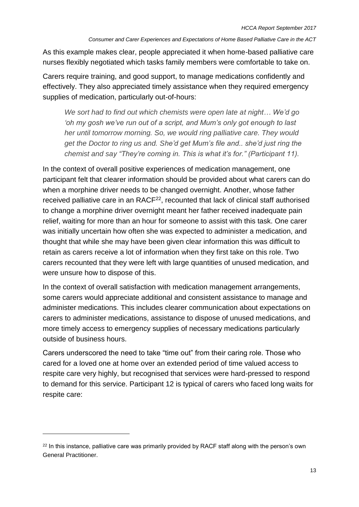As this example makes clear, people appreciated it when home-based palliative care nurses flexibly negotiated which tasks family members were comfortable to take on.

Carers require training, and good support, to manage medications confidently and effectively. They also appreciated timely assistance when they required emergency supplies of medication, particularly out-of-hours:

*We sort had to find out which chemists were open late at night… We'd go 'oh my gosh we've run out of a script, and Mum's only got enough to last her until tomorrow morning. So, we would ring palliative care. They would get the Doctor to ring us and. She'd get Mum's file and.. she'd just ring the chemist and say "They're coming in. This is what it's for." (Participant 11).* 

In the context of overall positive experiences of medication management, one participant felt that clearer information should be provided about what carers can do when a morphine driver needs to be changed overnight. Another, whose father received palliative care in an RACF<sup>22</sup>, recounted that lack of clinical staff authorised to change a morphine driver overnight meant her father received inadequate pain relief, waiting for more than an hour for someone to assist with this task. One carer was initially uncertain how often she was expected to administer a medication, and thought that while she may have been given clear information this was difficult to retain as carers receive a lot of information when they first take on this role. Two carers recounted that they were left with large quantities of unused medication, and were unsure how to dispose of this.

In the context of overall satisfaction with medication management arrangements, some carers would appreciate additional and consistent assistance to manage and administer medications. This includes clearer communication about expectations on carers to administer medications, assistance to dispose of unused medications, and more timely access to emergency supplies of necessary medications particularly outside of business hours.

Carers underscored the need to take "time out" from their caring role. Those who cared for a loved one at home over an extended period of time valued access to respite care very highly, but recognised that services were hard-pressed to respond to demand for this service. Participant 12 is typical of carers who faced long waits for respite care:

 $\overline{a}$ 

<sup>&</sup>lt;sup>22</sup> In this instance, palliative care was primarily provided by RACF staff along with the person's own General Practitioner.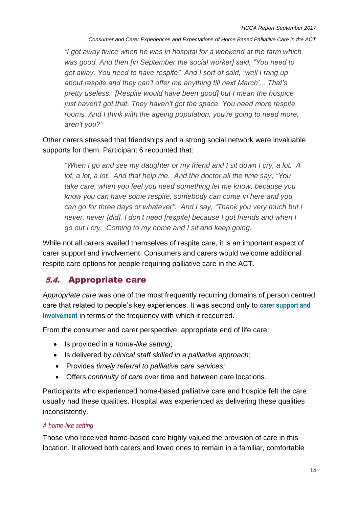*"I got away twice when he was in hospital for a weekend at the farm which was good. And then [in September the social worker] said, "You need to get away. You need to have respite". And I sort of said, "well I rang up about respite and they can't offer me anything till next March'... That's pretty useless. [Respite would have been good] but I mean the hospice just haven't got that. They haven't got the space. You need more respite rooms. And I think with the ageing population, you're going to need more, aren't you?"*

Other carers stressed that friendships and a strong social network were invaluable supports for them. Participant 6 recounted that:

*"When I go and see my daughter or my friend and I sit down I cry, a lot. A lot, a lot, a lot. And that help me. And the doctor all the time say, "You take care, when you feel you need something let me know, because you know you can have some respite, somebody can come in here and you can go for three days or whatever". And I say, "Thank you very much but I never, never [did]. I don't need [respite] because I got friends and when I go out I cry. Coming to my home and I sit and keep going.* 

While not all carers availed themselves of respite care, it is an important aspect of carer support and involvement. Consumers and carers would welcome additional respite care options for people requiring palliative care in the ACT.

# 5.4. Appropriate care

*Appropriate care* was one of the most frequently recurring domains of person centred care that related to people's key experiences. It was second only to **carer support and involvement** in terms of the frequency with which it reccurred.

From the consumer and carer perspective, appropriate end of life care:

- Is provided in a *home-like setting*;
- Is delivered by *clinical staff skilled in a palliative approach*;
- Provides *timely referral to palliative care services;*
- Offers *continuity of care* over time and between care locations.

Participants who experienced home-based palliative care and hospice felt the care usually had these qualities. Hospital was experienced as delivering these qualities inconsistently.

### *A home-like setting*

Those who received home-based care highly valued the provision of care in this location. It allowed both carers and loved ones to remain in a familiar, comfortable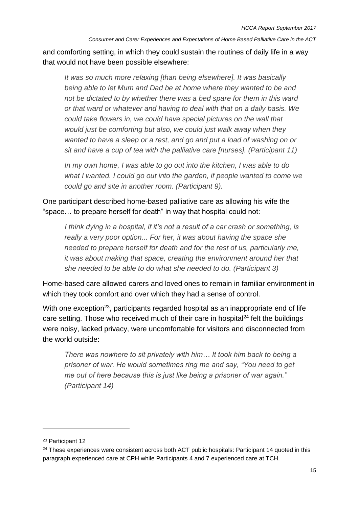and comforting setting, in which they could sustain the routines of daily life in a way that would not have been possible elsewhere:

*It was so much more relaxing [than being elsewhere]. It was basically being able to let Mum and Dad be at home where they wanted to be and not be dictated to by whether there was a bed spare for them in this ward or that ward or whatever and having to deal with that on a daily basis. We could take flowers in, we could have special pictures on the wall that would just be comforting but also, we could just walk away when they wanted to have a sleep or a rest, and go and put a load of washing on or sit and have a cup of tea with the palliative care [nurses]. (Participant 11)* 

*In my own home, I was able to go out into the kitchen, I was able to do what I wanted. I could go out into the garden, if people wanted to come we could go and site in another room. (Participant 9).*

One participant described home-based palliative care as allowing his wife the "space… to prepare herself for death" in way that hospital could not:

*I think dying in a hospital, if it's not a result of a car crash or something, is really a very poor option... For her, it was about having the space she needed to prepare herself for death and for the rest of us, particularly me, it was about making that space, creating the environment around her that she needed to be able to do what she needed to do. (Participant 3)*

Home-based care allowed carers and loved ones to remain in familiar environment in which they took comfort and over which they had a sense of control.

With one exception<sup>23</sup>, participants regarded hospital as an inappropriate end of life care setting. Those who received much of their care in hospital<sup>24</sup> felt the buildings were noisy, lacked privacy, were uncomfortable for visitors and disconnected from the world outside:

*There was nowhere to sit privately with him… It took him back to being a prisoner of war. He would sometimes ring me and say, "You need to get me out of here because this is just like being a prisoner of war again." (Participant 14)*

 $\overline{a}$ 

<sup>23</sup> Participant 12

<sup>&</sup>lt;sup>24</sup> These experiences were consistent across both ACT public hospitals: Participant 14 quoted in this paragraph experienced care at CPH while Participants 4 and 7 experienced care at TCH.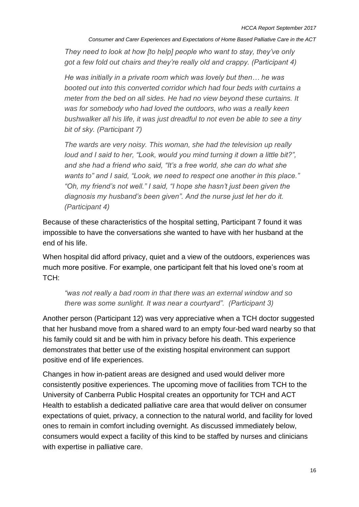*They need to look at how [to help] people who want to stay, they've only got a few fold out chairs and they're really old and crappy. (Participant 4)*

*He was initially in a private room which was lovely but then… he was booted out into this converted corridor which had four beds with curtains a meter from the bed on all sides. He had no view beyond these curtains. It was for somebody who had loved the outdoors, who was a really keen bushwalker all his life, it was just dreadful to not even be able to see a tiny bit of sky. (Participant 7)*

*The wards are very noisy. This woman, she had the television up really loud and I said to her, "Look, would you mind turning it down a little bit?", and she had a friend who said, "It's a free world, she can do what she wants to" and I said, "Look, we need to respect one another in this place." "Oh, my friend's not well." I said, "I hope she hasn't just been given the diagnosis my husband's been given". And the nurse just let her do it. (Participant 4)*

Because of these characteristics of the hospital setting, Participant 7 found it was impossible to have the conversations she wanted to have with her husband at the end of his life.

When hospital did afford privacy, quiet and a view of the outdoors, experiences was much more positive. For example, one participant felt that his loved one's room at TCH:

*"was not really a bad room in that there was an external window and so there was some sunlight. It was near a courtyard". (Participant 3)*

Another person (Participant 12) was very appreciative when a TCH doctor suggested that her husband move from a shared ward to an empty four-bed ward nearby so that his family could sit and be with him in privacy before his death. This experience demonstrates that better use of the existing hospital environment can support positive end of life experiences.

Changes in how in-patient areas are designed and used would deliver more consistently positive experiences. The upcoming move of facilities from TCH to the University of Canberra Public Hospital creates an opportunity for TCH and ACT Health to establish a dedicated palliative care area that would deliver on consumer expectations of quiet, privacy, a connection to the natural world, and facility for loved ones to remain in comfort including overnight. As discussed immediately below, consumers would expect a facility of this kind to be staffed by nurses and clinicians with expertise in palliative care.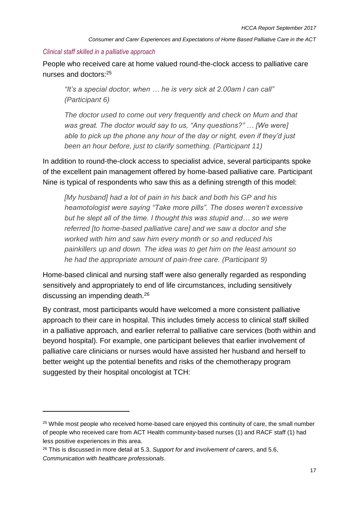#### *Clinical staff skilled in a palliative approach*

People who received care at home valued round-the-clock access to palliative care nurses and doctors:<sup>25</sup>

*"It's a special doctor, when … he is very sick at 2.00am I can call" (Participant 6)*

*The doctor used to come out very frequently and check on Mum and that was great. The doctor would say to us, "Any questions?" … [We were] able to pick up the phone any hour of the day or night, even if they'd just been an hour before, just to clarify something. (Participant 11)*

In addition to round-the-clock access to specialist advice, several participants spoke of the excellent pain management offered by home-based palliative care. Participant Nine is typical of respondents who saw this as a defining strength of this model:

*[My husband] had a lot of pain in his back and both his GP and his heamotologist were saying "Take more pills". The doses weren't excessive but he slept all of the time. I thought this was stupid and… so we were referred [to home-based palliative care] and we saw a doctor and she worked with him and saw him every month or so and reduced his painkillers up and down. The idea was to get him on the least amount so he had the appropriate amount of pain-free care. (Participant 9)*

Home-based clinical and nursing staff were also generally regarded as responding sensitively and appropriately to end of life circumstances, including sensitively discussing an impending death.<sup>26</sup>

By contrast, most participants would have welcomed a more consistent palliative approach to their care in hospital. This includes timely access to clinical staff skilled in a palliative approach, and earlier referral to palliative care services (both within and beyond hospital). For example, one participant believes that earlier involvement of palliative care clinicians or nurses would have assisted her husband and herself to better weight up the potential benefits and risks of the chemotherapy program suggested by their hospital oncologist at TCH:

 $\overline{a}$ 

<sup>&</sup>lt;sup>25</sup> While most people who received home-based care enjoyed this continuity of care, the small number of people who received care from ACT Health community-based nurses (1) and RACF staff (1) had less positive experiences in this area.

<sup>26</sup> This is discussed in more detail at 5.3, *Support for and involvement of carers*, and 5.6, *Communication with healthcare professionals*.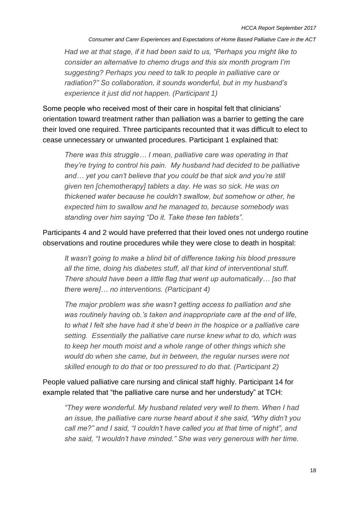*Had we at that stage, if it had been said to us, "Perhaps you might like to consider an alternative to chemo drugs and this six month program I'm suggesting? Perhaps you need to talk to people in palliative care or radiation?" So collaboration, it sounds wonderful, but in my husband's experience it just did not happen. (Participant 1)*

Some people who received most of their care in hospital felt that clinicians' orientation toward treatment rather than palliation was a barrier to getting the care their loved one required. Three participants recounted that it was difficult to elect to cease unnecessary or unwanted procedures. Participant 1 explained that:

*There was this struggle… I mean, palliative care was operating in that they're trying to control his pain. My husband had decided to be palliative and… yet you can't believe that you could be that sick and you're still given ten [chemotherapy] tablets a day. He was so sick. He was on thickened water because he couldn't swallow, but somehow or other, he expected him to swallow and he managed to, because somebody was standing over him saying "Do it. Take these ten tablets".* 

Participants 4 and 2 would have preferred that their loved ones not undergo routine observations and routine procedures while they were close to death in hospital:

*It wasn't going to make a blind bit of difference taking his blood pressure all the time, doing his diabetes stuff, all that kind of interventional stuff. There should have been a little flag that went up automatically… [so that there were]… no interventions. (Participant 4)*

*The major problem was she wasn't getting access to palliation and she was routinely having ob.'s taken and inappropriate care at the end of life, to what I felt she have had it she'd been in the hospice or a palliative care setting. Essentially the palliative care nurse knew what to do, which was to keep her mouth moist and a whole range of other things which she would do when she came, but in between, the regular nurses were not skilled enough to do that or too pressured to do that. (Participant 2)*

People valued palliative care nursing and clinical staff highly. Participant 14 for example related that "the palliative care nurse and her understudy" at TCH:

*"They were wonderful. My husband related very well to them. When I had an issue, the palliative care nurse heard about it she said, "Why didn't you call me?" and I said, "I couldn't have called you at that time of night", and she said, "I wouldn't have minded." She was very generous with her time.*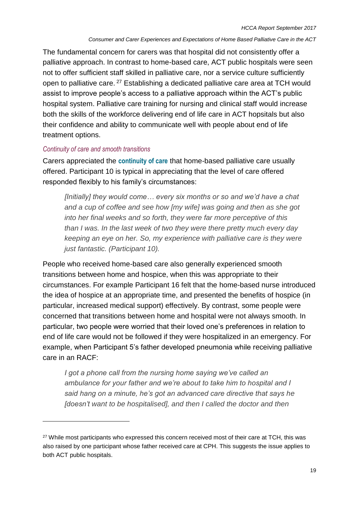The fundamental concern for carers was that hospital did not consistently offer a palliative approach. In contrast to home-based care, ACT public hospitals were seen not to offer sufficient staff skilled in palliative care, nor a service culture sufficiently open to palliative care. <sup>27</sup> Establishing a dedicated palliative care area at TCH would assist to improve people's access to a palliative approach within the ACT's public hospital system. Palliative care training for nursing and clinical staff would increase both the skills of the workforce delivering end of life care in ACT hopsitals but also their confidence and ability to communicate well with people about end of life treatment options.

#### *Continuity of care and smooth transitions*

 $\overline{a}$ 

Carers appreciated the **continuity of care** that home-based palliative care usually offered. Participant 10 is typical in appreciating that the level of care offered responded flexibly to his family's circumstances:

*[Initially] they would come… every six months or so and we'd have a chat and a cup of coffee and see how [my wife] was going and then as she got into her final weeks and so forth, they were far more perceptive of this than I was. In the last week of two they were there pretty much every day keeping an eye on her. So, my experience with palliative care is they were just fantastic. (Participant 10).*

People who received home-based care also generally experienced smooth transitions between home and hospice, when this was appropriate to their circumstances. For example Participant 16 felt that the home-based nurse introduced the idea of hospice at an appropriate time, and presented the benefits of hospice (in particular, increased medical support) effectively. By contrast, some people were concerned that transitions between home and hospital were not always smooth. In particular, two people were worried that their loved one's preferences in relation to end of life care would not be followed if they were hospitalized in an emergency. For example, when Participant 5's father developed pneumonia while receiving palliative care in an RACF:

I got a phone call from the nursing home saying we've called an *ambulance for your father and we're about to take him to hospital and I said hang on a minute, he's got an advanced care directive that says he [doesn't want to be hospitalised], and then I called the doctor and then* 

<sup>&</sup>lt;sup>27</sup> While most participants who expressed this concern received most of their care at TCH, this was also raised by one participant whose father received care at CPH. This suggests the issue applies to both ACT public hospitals.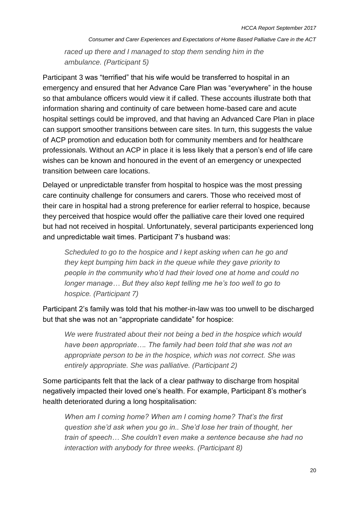*raced up there and I managed to stop them sending him in the ambulance. (Participant 5)*

Participant 3 was "terrified" that his wife would be transferred to hospital in an emergency and ensured that her Advance Care Plan was "everywhere" in the house so that ambulance officers would view it if called. These accounts illustrate both that information sharing and continuity of care between home-based care and acute hospital settings could be improved, and that having an Advanced Care Plan in place can support smoother transitions between care sites. In turn, this suggests the value of ACP promotion and education both for community members and for healthcare professionals. Without an ACP in place it is less likely that a person's end of life care wishes can be known and honoured in the event of an emergency or unexpected transition between care locations.

Delayed or unpredictable transfer from hospital to hospice was the most pressing care continuity challenge for consumers and carers. Those who received most of their care in hospital had a strong preference for earlier referral to hospice, because they perceived that hospice would offer the palliative care their loved one required but had not received in hospital. Unfortunately, several participants experienced long and unpredictable wait times. Participant 7's husband was:

*Scheduled to go to the hospice and I kept asking when can he go and they kept bumping him back in the queue while they gave priority to people in the community who'd had their loved one at home and could no longer manage… But they also kept telling me he's too well to go to hospice. (Participant 7)*

Participant 2's family was told that his mother-in-law was too unwell to be discharged but that she was not an "appropriate candidate" for hospice:

*We were frustrated about their not being a bed in the hospice which would have been appropriate…. The family had been told that she was not an appropriate person to be in the hospice, which was not correct. She was entirely appropriate. She was palliative. (Participant 2)*

Some participants felt that the lack of a clear pathway to discharge from hospital negatively impacted their loved one's health. For example, Participant 8's mother's health deteriorated during a long hospitalisation:

*When am I coming home? When am I coming home? That's the first question she'd ask when you go in.. She'd lose her train of thought, her train of speech… She couldn't even make a sentence because she had no interaction with anybody for three weeks. (Participant 8)*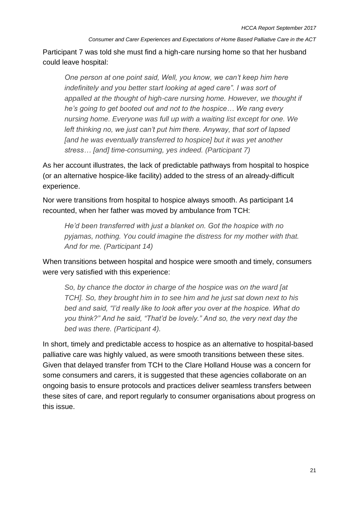Participant 7 was told she must find a high-care nursing home so that her husband could leave hospital:

*One person at one point said, Well, you know, we can't keep him here indefinitely and you better start looking at aged care". I was sort of* appalled at the thought of high-care nursing home. However, we thought if *he's going to get booted out and not to the hospice… We rang every nursing home. Everyone was full up with a waiting list except for one. We left thinking no, we just can't put him there. Anyway, that sort of lapsed [and he was eventually transferred to hospice] but it was yet another stress… [and] time-consuming, yes indeed. (Participant 7)*

As her account illustrates, the lack of predictable pathways from hospital to hospice (or an alternative hospice-like facility) added to the stress of an already-difficult experience.

Nor were transitions from hospital to hospice always smooth. As participant 14 recounted, when her father was moved by ambulance from TCH:

*He'd been transferred with just a blanket on. Got the hospice with no pyjamas, nothing. You could imagine the distress for my mother with that. And for me. (Participant 14)*

When transitions between hospital and hospice were smooth and timely, consumers were very satisfied with this experience:

*So, by chance the doctor in charge of the hospice was on the ward [at TCH]. So, they brought him in to see him and he just sat down next to his bed and said, "I'd really like to look after you over at the hospice. What do you think?" And he said, "That'd be lovely." And so, the very next day the bed was there. (Participant 4).*

In short, timely and predictable access to hospice as an alternative to hospital-based palliative care was highly valued, as were smooth transitions between these sites. Given that delayed transfer from TCH to the Clare Holland House was a concern for some consumers and carers, it is suggested that these agencies collaborate on an ongoing basis to ensure protocols and practices deliver seamless transfers between these sites of care, and report regularly to consumer organisations about progress on this issue.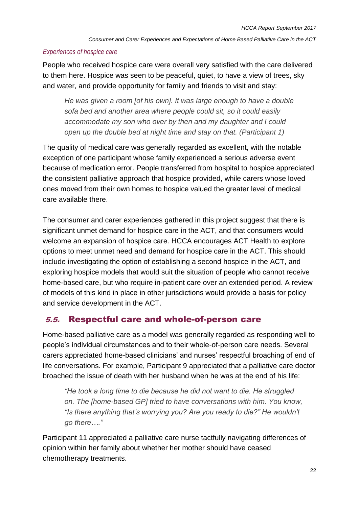### *Experiences of hospice care*

People who received hospice care were overall very satisfied with the care delivered to them here. Hospice was seen to be peaceful, quiet, to have a view of trees, sky and water, and provide opportunity for family and friends to visit and stay:

*He was given a room [of his own]. It was large enough to have a double sofa bed and another area where people could sit, so it could easily accommodate my son who over by then and my daughter and I could open up the double bed at night time and stay on that. (Participant 1)* 

The quality of medical care was generally regarded as excellent, with the notable exception of one participant whose family experienced a serious adverse event because of medication error. People transferred from hospital to hospice appreciated the consistent palliative approach that hospice provided, while carers whose loved ones moved from their own homes to hospice valued the greater level of medical care available there.

The consumer and carer experiences gathered in this project suggest that there is significant unmet demand for hospice care in the ACT, and that consumers would welcome an expansion of hospice care. HCCA encourages ACT Health to explore options to meet unmet need and demand for hospice care in the ACT. This should include investigating the option of establishing a second hospice in the ACT, and exploring hospice models that would suit the situation of people who cannot receive home-based care, but who require in-patient care over an extended period. A review of models of this kind in place in other jurisdictions would provide a basis for policy and service development in the ACT.

# 5.5. Respectful care and whole-of-person care

Home-based palliative care as a model was generally regarded as responding well to people's individual circumstances and to their whole-of-person care needs. Several carers appreciated home-based clinicians' and nurses' respectful broaching of end of life conversations. For example, Participant 9 appreciated that a palliative care doctor broached the issue of death with her husband when he was at the end of his life:

*"He took a long time to die because he did not want to die. He struggled on. The [home-based GP] tried to have conversations with him. You know, "Is there anything that's worrying you? Are you ready to die?" He wouldn't go there…."*

Participant 11 appreciated a palliative care nurse tactfully navigating differences of opinion within her family about whether her mother should have ceased chemotherapy treatments.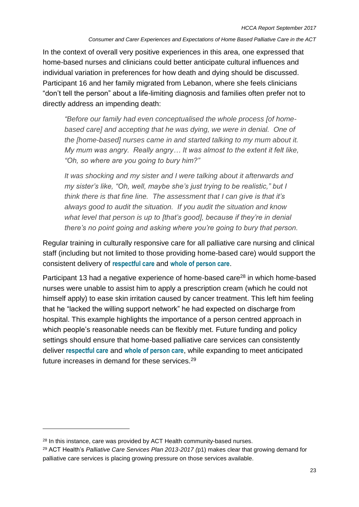In the context of overall very positive experiences in this area, one expressed that home-based nurses and clinicians could better anticipate cultural influences and individual variation in preferences for how death and dying should be discussed. Participant 16 and her family migrated from Lebanon, where she feels clinicians "don't tell the person" about a life-limiting diagnosis and families often prefer not to directly address an impending death:

*"Before our family had even conceptualised the whole process [of homebased care] and accepting that he was dying, we were in denial. One of the [home-based] nurses came in and started talking to my mum about it. My mum was angry. Really angry… It was almost to the extent it felt like, "Oh, so where are you going to bury him?"* 

*It was shocking and my sister and I were talking about it afterwards and my sister's like, "Oh, well, maybe she's just trying to be realistic," but I think there is that fine line. The assessment that I can give is that it's always good to audit the situation. If you audit the situation and know what level that person is up to [that's good], because if they're in denial there's no point going and asking where you're going to bury that person.* 

Regular training in culturally responsive care for all palliative care nursing and clinical staff (including but not limited to those providing home-based care) would support the consistent delivery of **respectful care** and **whole of person care**.

Participant 13 had a negative experience of home-based care<sup>28</sup> in which home-based nurses were unable to assist him to apply a prescription cream (which he could not himself apply) to ease skin irritation caused by cancer treatment. This left him feeling that he "lacked the willing support network" he had expected on discharge from hospital. This example highlights the importance of a person centred approach in which people's reasonable needs can be flexibly met. Future funding and policy settings should ensure that home-based palliative care services can consistently deliver **respectful care** and **whole of person care**, while expanding to meet anticipated future increases in demand for these services.<sup>29</sup>

 $\overline{a}$ 

<sup>&</sup>lt;sup>28</sup> In this instance, care was provided by ACT Health community-based nurses.

<sup>29</sup> ACT Health's *Palliative Care Services Plan 2013-2017 (*p1) makes clear that growing demand for palliative care services is placing growing pressure on those services available.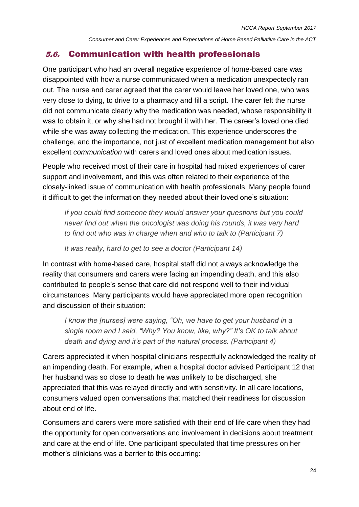### 5.6. Communication with health professionals

One participant who had an overall negative experience of home-based care was disappointed with how a nurse communicated when a medication unexpectedly ran out. The nurse and carer agreed that the carer would leave her loved one, who was very close to dying, to drive to a pharmacy and fill a script. The carer felt the nurse did not communicate clearly why the medication was needed, whose responsibility it was to obtain it, or why she had not brought it with her. The career's loved one died while she was away collecting the medication. This experience underscores the challenge, and the importance, not just of excellent medication management but also excellent *communication* with carers and loved ones about medication issues.

People who received most of their care in hospital had mixed experiences of carer support and involvement, and this was often related to their experience of the closely-linked issue of communication with health professionals. Many people found it difficult to get the information they needed about their loved one's situation:

*If you could find someone they would answer your questions but you could never find out when the oncologist was doing his rounds, it was very hard to find out who was in charge when and who to talk to (Participant 7)*

*It was really, hard to get to see a doctor (Participant 14)*

In contrast with home-based care, hospital staff did not always acknowledge the reality that consumers and carers were facing an impending death, and this also contributed to people's sense that care did not respond well to their individual circumstances. Many participants would have appreciated more open recognition and discussion of their situation:

*I know the [nurses] were saying, "Oh, we have to get your husband in a single room and I said, "Why? You know, like, why?" It's OK to talk about death and dying and it's part of the natural process. (Participant 4)*

Carers appreciated it when hospital clinicians respectfully acknowledged the reality of an impending death. For example, when a hospital doctor advised Participant 12 that her husband was so close to death he was unlikely to be discharged, she appreciated that this was relayed directly and with sensitivity. In all care locations, consumers valued open conversations that matched their readiness for discussion about end of life.

Consumers and carers were more satisfied with their end of life care when they had the opportunity for open conversations and involvement in decisions about treatment and care at the end of life. One participant speculated that time pressures on her mother's clinicians was a barrier to this occurring: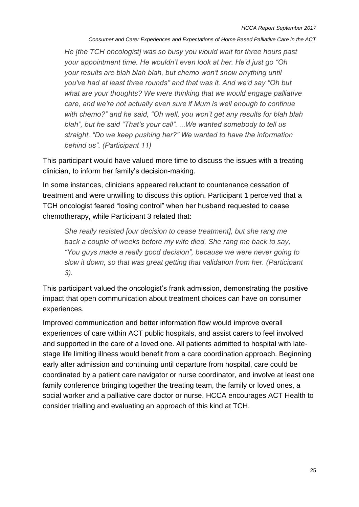*He [the TCH oncologist] was so busy you would wait for three hours past your appointment time. He wouldn't even look at her. He'd just go "Oh your results are blah blah blah, but chemo won't show anything until you've had at least three rounds" and that was it. And we'd say "Oh but what are your thoughts? We were thinking that we would engage palliative care, and we're not actually even sure if Mum is well enough to continue with chemo?" and he said, "Oh well, you won't get any results for blah blah blah", but he said "That's your call". ...We wanted somebody to tell us straight, "Do we keep pushing her?" We wanted to have the information behind us". (Participant 11)*

This participant would have valued more time to discuss the issues with a treating clinician, to inform her family's decision-making.

In some instances, clinicians appeared reluctant to countenance cessation of treatment and were unwilling to discuss this option. Participant 1 perceived that a TCH oncologist feared "losing control" when her husband requested to cease chemotherapy, while Participant 3 related that:

*She really resisted [our decision to cease treatment], but she rang me back a couple of weeks before my wife died. She rang me back to say, "You guys made a really good decision", because we were never going to slow it down, so that was great getting that validation from her. (Participant 3).*

This participant valued the oncologist's frank admission, demonstrating the positive impact that open communication about treatment choices can have on consumer experiences.

Improved communication and better information flow would improve overall experiences of care within ACT public hospitals, and assist carers to feel involved and supported in the care of a loved one. All patients admitted to hospital with latestage life limiting illness would benefit from a care coordination approach. Beginning early after admission and continuing until departure from hospital, care could be coordinated by a patient care navigator or nurse coordinator, and involve at least one family conference bringing together the treating team, the family or loved ones, a social worker and a palliative care doctor or nurse. HCCA encourages ACT Health to consider trialling and evaluating an approach of this kind at TCH.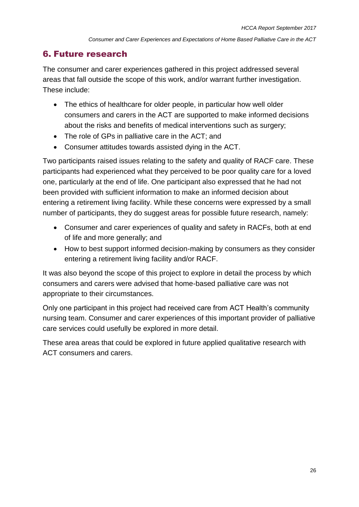# 6. Future research

The consumer and carer experiences gathered in this project addressed several areas that fall outside the scope of this work, and/or warrant further investigation. These include:

- The ethics of healthcare for older people, in particular how well older consumers and carers in the ACT are supported to make informed decisions about the risks and benefits of medical interventions such as surgery;
- The role of GPs in palliative care in the ACT; and
- Consumer attitudes towards assisted dying in the ACT.

Two participants raised issues relating to the safety and quality of RACF care. These participants had experienced what they perceived to be poor quality care for a loved one, particularly at the end of life. One participant also expressed that he had not been provided with sufficient information to make an informed decision about entering a retirement living facility. While these concerns were expressed by a small number of participants, they do suggest areas for possible future research, namely:

- Consumer and carer experiences of quality and safety in RACFs, both at end of life and more generally; and
- How to best support informed decision-making by consumers as they consider entering a retirement living facility and/or RACF.

It was also beyond the scope of this project to explore in detail the process by which consumers and carers were advised that home-based palliative care was not appropriate to their circumstances.

Only one participant in this project had received care from ACT Health's community nursing team. Consumer and carer experiences of this important provider of palliative care services could usefully be explored in more detail.

These area areas that could be explored in future applied qualitative research with ACT consumers and carers.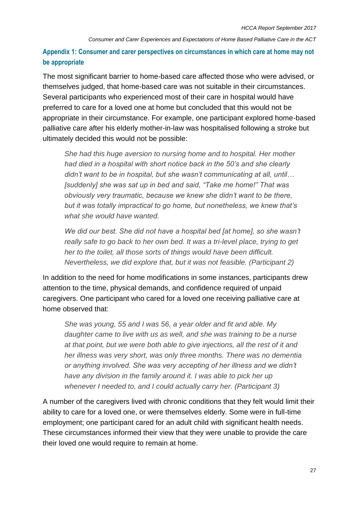# **Appendix 1: Consumer and carer perspectives on circumstances in which care at home may not be appropriate**

The most significant barrier to home-based care affected those who were advised, or themselves judged, that home-based care was not suitable in their circumstances. Several participants who experienced most of their care in hospital would have preferred to care for a loved one at home but concluded that this would not be appropriate in their circumstance. For example, one participant explored home-based palliative care after his elderly mother-in-law was hospitalised following a stroke but ultimately decided this would not be possible:

*She had this huge aversion to nursing home and to hospital. Her mother had died in a hospital with short notice back in the 50's and she clearly didn't want to be in hospital, but she wasn't communicating at all, until… [suddenly] she was sat up in bed and said, "Take me home!" That was obviously very traumatic, because we knew she didn't want to be there, but it was totally impractical to go home, but nonetheless, we knew that's what she would have wanted.*

*We did our best. She did not have a hospital bed [at home], so she wasn't really safe to go back to her own bed. It was a tri-level place, trying to get her to the toilet, all those sorts of things would have been difficult. Nevertheless, we did explore that, but it was not feasible. (Participant 2)*

In addition to the need for home modifications in some instances, participants drew attention to the time, physical demands, and confidence required of unpaid caregivers. One participant who cared for a loved one receiving palliative care at home observed that:

*She was young, 55 and I was 56, a year older and fit and able. My daughter came to live with us as well, and she was training to be a nurse at that point, but we were both able to give injections, all the rest of it and her illness was very short, was only three months. There was no dementia or anything involved. She was very accepting of her illness and we didn't have any division in the family around it. I was able to pick her up whenever I needed to, and I could actually carry her. (Participant 3)*

A number of the caregivers lived with chronic conditions that they felt would limit their ability to care for a loved one, or were themselves elderly. Some were in full-time employment; one participant cared for an adult child with significant health needs. These circumstances informed their view that they were unable to provide the care their loved one would require to remain at home.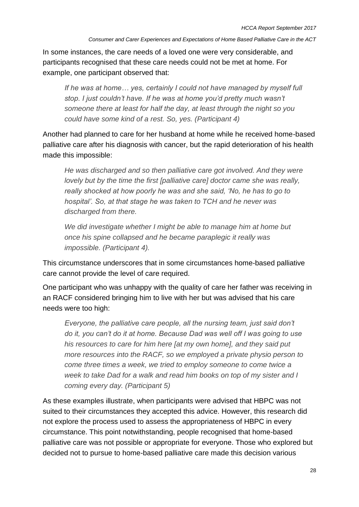In some instances, the care needs of a loved one were very considerable, and participants recognised that these care needs could not be met at home. For example, one participant observed that:

If he was at home... yes, certainly I could not have managed by myself full *stop. I just couldn't have. If he was at home you'd pretty much wasn't someone there at least for half the day, at least through the night so you could have some kind of a rest. So, yes. (Participant 4)*

Another had planned to care for her husband at home while he received home-based palliative care after his diagnosis with cancer, but the rapid deterioration of his health made this impossible:

*He was discharged and so then palliative care got involved. And they were lovely but by the time the first [palliative care] doctor came she was really, really shocked at how poorly he was and she said, 'No, he has to go to hospital'. So, at that stage he was taken to TCH and he never was discharged from there.* 

*We did investigate whether I might be able to manage him at home but once his spine collapsed and he became paraplegic it really was impossible. (Participant 4).* 

This circumstance underscores that in some circumstances home-based palliative care cannot provide the level of care required.

One participant who was unhappy with the quality of care her father was receiving in an RACF considered bringing him to live with her but was advised that his care needs were too high:

*Everyone, the palliative care people, all the nursing team, just said don't do it, you can't do it at home. Because Dad was well off I was going to use his resources to care for him here [at my own home], and they said put more resources into the RACF, so we employed a private physio person to come three times a week, we tried to employ someone to come twice a week to take Dad for a walk and read him books on top of my sister and I coming every day. (Participant 5)*

As these examples illustrate, when participants were advised that HBPC was not suited to their circumstances they accepted this advice. However, this research did not explore the process used to assess the appropriateness of HBPC in every circumstance. This point notwithstanding, people recognised that home-based palliative care was not possible or appropriate for everyone. Those who explored but decided not to pursue to home-based palliative care made this decision various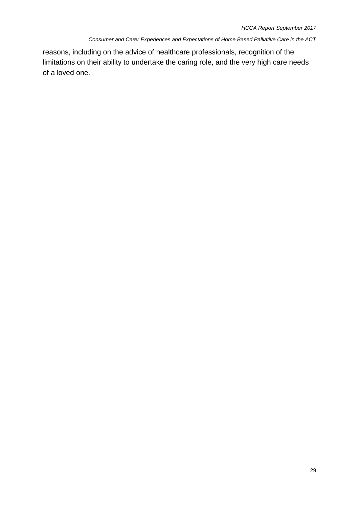reasons, including on the advice of healthcare professionals, recognition of the limitations on their ability to undertake the caring role, and the very high care needs of a loved one.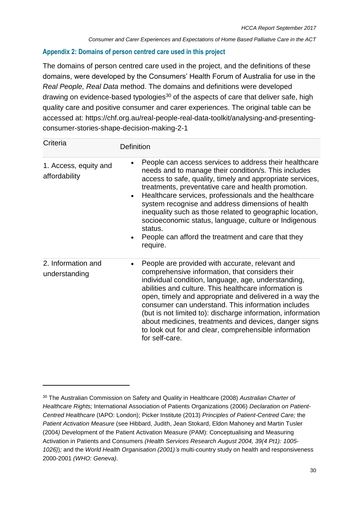### **Appendix 2: Domains of person centred care used in this project**

The domains of person centred care used in the project, and the definitions of these domains, were developed by the Consumers' Health Forum of Australia for use in the *Real People, Real Data* method. The domains and definitions were developed drawing on evidence-based typologies<sup>30</sup> of the aspects of care that deliver safe, high quality care and positive consumer and carer experiences. The original table can be accessed at: https://chf.org.au/real-people-real-data-toolkit/analysing-and-presentingconsumer-stories-shape-decision-making-2-1

| Criteria                               | <b>Definition</b>                                                                                                                                                                                                                                                                                                                                                                                                                                                                                                                                                            |  |  |  |
|----------------------------------------|------------------------------------------------------------------------------------------------------------------------------------------------------------------------------------------------------------------------------------------------------------------------------------------------------------------------------------------------------------------------------------------------------------------------------------------------------------------------------------------------------------------------------------------------------------------------------|--|--|--|
| 1. Access, equity and<br>affordability | People can access services to address their healthcare<br>needs and to manage their condition/s. This includes<br>access to safe, quality, timely and appropriate services,<br>treatments, preventative care and health promotion.<br>Healthcare services, professionals and the healthcare<br>$\bullet$<br>system recognise and address dimensions of health<br>inequality such as those related to geographic location,<br>socioeconomic status, language, culture or Indigenous<br>status.<br>People can afford the treatment and care that they<br>$\bullet$<br>require. |  |  |  |
| 2. Information and<br>understanding    | People are provided with accurate, relevant and<br>comprehensive information, that considers their<br>individual condition, language, age, understanding,<br>abilities and culture. This healthcare information is<br>open, timely and appropriate and delivered in a way the<br>consumer can understand. This information includes<br>(but is not limited to): discharge information, information<br>about medicines, treatments and devices, danger signs<br>to look out for and clear, comprehensible information<br>for self-care.                                       |  |  |  |

 $\overline{a}$ 

<sup>30</sup> The Australian Commission on Safety and Quality in Healthcare (2008) *Australian Charter of Healthcare Rights;* International Association of Patients Organizations (2006) *Declaration on Patient-Centred Healthcare* (IAPO: London); Picker Institute (2013) *Principles of Patient-Centred Care;* the *Patient Activation Measure* (see Hibbard, Judith, Jean Stokard, Eldon Mahoney and Martin Tusler (2004*)* Development of the Patient Activation Measure (PAM): Conceptualising and Measuring Activation in Patients and Consumers *(Health Services Research August 2004, 39(4 Pt1): 1005- 1026)*)*;* and the *World Health Organisation (2001)'s* multi-country study on health and responsiveness 2000-2001 *(WHO: Geneva).*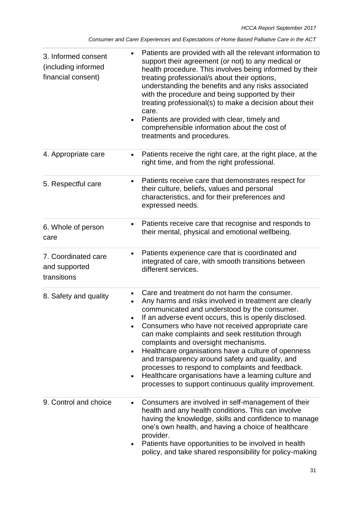| 3. Informed consent<br>(including informed<br>financial consent) | Patients are provided with all the relevant information to<br>support their agreement (or not) to any medical or<br>health procedure. This involves being informed by their<br>treating professional/s about their options,<br>understanding the benefits and any risks associated<br>with the procedure and being supported by their<br>treating professional(s) to make a decision about their<br>care.<br>Patients are provided with clear, timely and<br>comprehensible information about the cost of<br>treatments and procedures.                                                                                                      |
|------------------------------------------------------------------|----------------------------------------------------------------------------------------------------------------------------------------------------------------------------------------------------------------------------------------------------------------------------------------------------------------------------------------------------------------------------------------------------------------------------------------------------------------------------------------------------------------------------------------------------------------------------------------------------------------------------------------------|
| 4. Appropriate care                                              | Patients receive the right care, at the right place, at the<br>$\bullet$<br>right time, and from the right professional.                                                                                                                                                                                                                                                                                                                                                                                                                                                                                                                     |
| 5. Respectful care                                               | Patients receive care that demonstrates respect for<br>$\bullet$<br>their culture, beliefs, values and personal<br>characteristics, and for their preferences and<br>expressed needs.                                                                                                                                                                                                                                                                                                                                                                                                                                                        |
| 6. Whole of person<br>care                                       | Patients receive care that recognise and responds to<br>$\bullet$<br>their mental, physical and emotional wellbeing.                                                                                                                                                                                                                                                                                                                                                                                                                                                                                                                         |
| 7. Coordinated care<br>and supported<br>transitions              | Patients experience care that is coordinated and<br>٠<br>integrated of care, with smooth transitions between<br>different services.                                                                                                                                                                                                                                                                                                                                                                                                                                                                                                          |
| 8. Safety and quality                                            | Care and treatment do not harm the consumer.<br>Any harms and risks involved in treatment are clearly<br>communicated and understood by the consumer.<br>If an adverse event occurs, this is openly disclosed.<br>Consumers who have not received appropriate care<br>can make complaints and seek restitution through<br>complaints and oversight mechanisms.<br>Healthcare organisations have a culture of openness<br>and transparency around safety and quality, and<br>processes to respond to complaints and feedback.<br>Healthcare organisations have a learning culture and<br>processes to support continuous quality improvement. |
| 9. Control and choice                                            | Consumers are involved in self-management of their<br>$\bullet$<br>health and any health conditions. This can involve<br>having the knowledge, skills and confidence to manage<br>one's own health, and having a choice of healthcare<br>provider.<br>Patients have opportunities to be involved in health<br>policy, and take shared responsibility for policy-making                                                                                                                                                                                                                                                                       |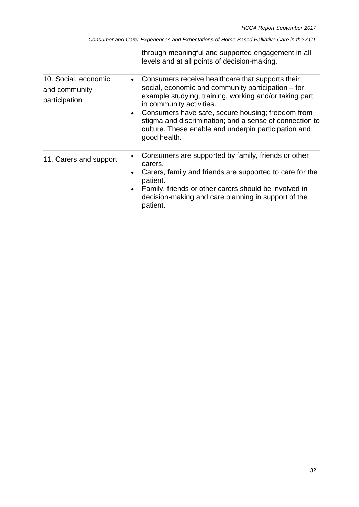| Consumer and Carer Experiences and Expectations of Home Based Palliative Care in the ACT |  |  |  |  |
|------------------------------------------------------------------------------------------|--|--|--|--|
|                                                                                          |  |  |  |  |

|                                                        |                        | through meaningful and supported engagement in all<br>levels and at all points of decision-making.                                                                                                                                                                                                                                                                                   |
|--------------------------------------------------------|------------------------|--------------------------------------------------------------------------------------------------------------------------------------------------------------------------------------------------------------------------------------------------------------------------------------------------------------------------------------------------------------------------------------|
| 10. Social, economic<br>and community<br>participation | $\bullet$              | Consumers receive healthcare that supports their<br>social, economic and community participation – for<br>example studying, training, working and/or taking part<br>in community activities.<br>Consumers have safe, secure housing; freedom from<br>stigma and discrimination; and a sense of connection to<br>culture. These enable and underpin participation and<br>good health. |
| 11. Carers and support                                 | $\bullet$<br>$\bullet$ | Consumers are supported by family, friends or other<br>carers.<br>Carers, family and friends are supported to care for the<br>patient.<br>Family, friends or other carers should be involved in<br>decision-making and care planning in support of the<br>patient.                                                                                                                   |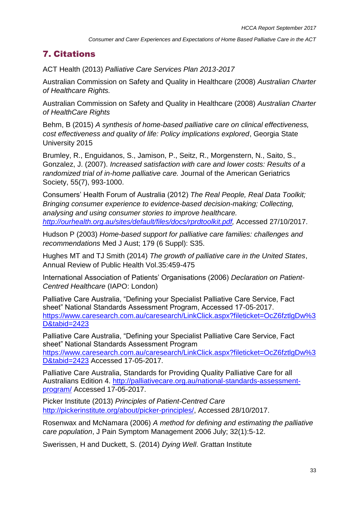# 7. Citations

ACT Health (2013) *Palliative Care Services Plan 2013-2017*

Australian Commission on Safety and Quality in Healthcare (2008) *Australian Charter of Healthcare Rights.*

Australian Commission on Safety and Quality in Healthcare (2008) *Australian Charter of HealthCare Rights*

Behm, B (2015) *A synthesis of home-based palliative care on clinical effectiveness, cost effectiveness and quality of life: Policy implications explored*, Georgia State University 2015

Brumley, R., Enguidanos, S., Jamison, P., Seitz, R., Morgenstern, N., Saito, S., Gonzalez, J. (2007). *Increased satisfaction with care and lower costs: Results of a randomized trial of in-home palliative care.* Journal of the American Geriatrics Society, 55(7), 993-1000.

Consumers' Health Forum of Australia (2012) *The Real People, Real Data Toolkit; Bringing consumer experience to evidence-based decision-making; Collecting, analysing and using consumer stories to improve healthcare. [http://ourhealth.org.au/sites/default/files/docs/rprdtoolkit.pdf,](http://ourhealth.org.au/sites/default/files/docs/rprdtoolkit.pdf)* Accessed 27/10/2017.

Hudson P (2003) *Home-based support for palliative care families: challenges and recommendations* Med J Aust; 179 (6 Suppl): S35.

Hughes MT and TJ Smith (2014) *The growth of palliative care in the United States*, Annual Review of Public Health Vol.35:459-475

International Association of Patients' Organisations (2006) *Declaration on Patient-Centred Healthcare* (IAPO: London)

Palliative Care Australia, "Defining your Specialist Palliative Care Service, Fact sheet" National Standards Assessment Program, Accessed 17-05-2017. [https://www.caresearch.com.au/caresearch/LinkClick.aspx?fileticket=OcZ6fztlgDw%3](https://www.caresearch.com.au/caresearch/LinkClick.aspx?fileticket=OcZ6fztlgDw%3D&tabid=2423) [D&tabid=2423](https://www.caresearch.com.au/caresearch/LinkClick.aspx?fileticket=OcZ6fztlgDw%3D&tabid=2423)

Palliative Care Australia, "Defining your Specialist Palliative Care Service, Fact sheet" National Standards Assessment Program [https://www.caresearch.com.au/caresearch/LinkClick.aspx?fileticket=OcZ6fztlgDw%3](https://www.caresearch.com.au/caresearch/LinkClick.aspx?fileticket=OcZ6fztlgDw%3D&tabid=2423) [D&tabid=2423](https://www.caresearch.com.au/caresearch/LinkClick.aspx?fileticket=OcZ6fztlgDw%3D&tabid=2423) Accessed 17-05-2017.

Palliative Care Australia, Standards for Providing Quality Palliative Care for all Australians Edition 4. [http://palliativecare.org.au/national-standards-assessment](http://palliativecare.org.au/national-standards-assessment-program/)[program/](http://palliativecare.org.au/national-standards-assessment-program/) Accessed 17-05-2017.

Picker Institute (2013) *Principles of Patient-Centred Care* [http://pickerinstitute.org/about/picker-principles/,](http://pickerinstitute.org/about/picker-principles/) Accessed 28/10/2017.

Rosenwax and McNamara (2006) *A method for defining and estimating the palliative care population*, J Pain Symptom Management 2006 July; 32(1):5-12.

Swerissen, H and Duckett, S. (2014) *Dying Well*. Grattan Institute